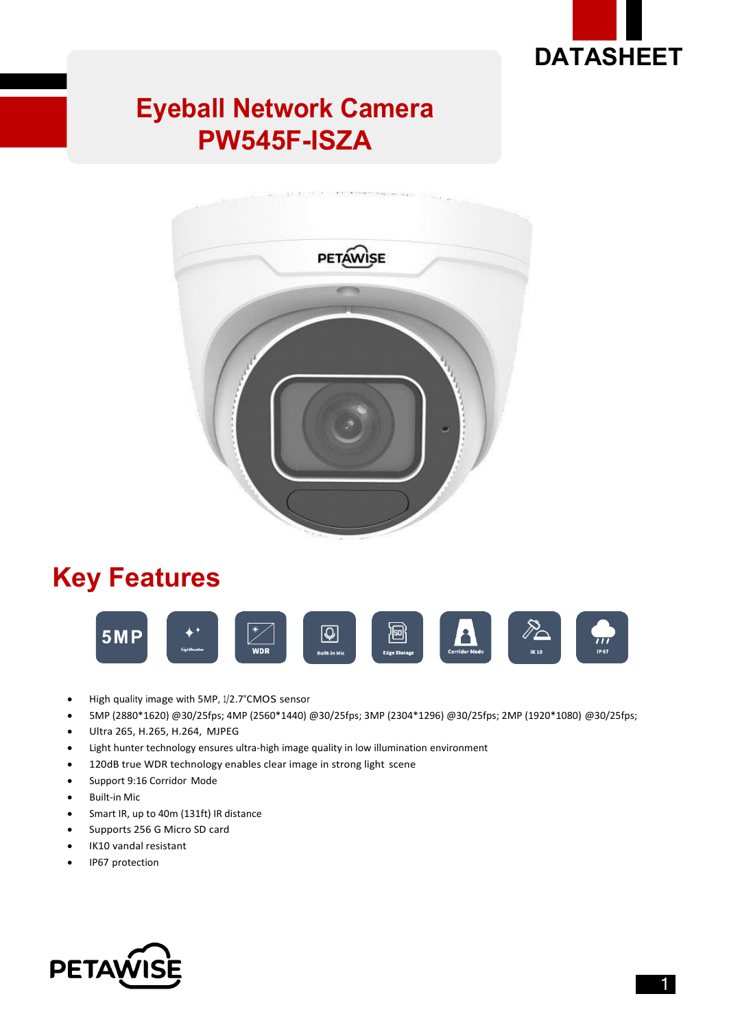

## **Eyeball Network Camera PW545F-ISZA**



## **Key Features**



- High quality image with 5MP, 1/2.7"CMOS sensor
- 5MP (2880\*1620) @30/25fps; 4MP (2560\*1440) @30/25fps; 3MP (2304\*1296) @30/25fps; 2MP (1920\*1080) @30/25fps;
- Ultra 265, H.265, H.264, MJPEG
- Light hunter technology ensures ultra-high image quality in low illumination environment
- 120dB true WDR technology enables clear image in strong light scene
- Support 9:16 Corridor Mode
- Built-in Mic
- Smart IR, up to 40m (131ft) IR distance
- Supports 256 G Micro SD card
- IK10 vandal resistant
- IP67 protection

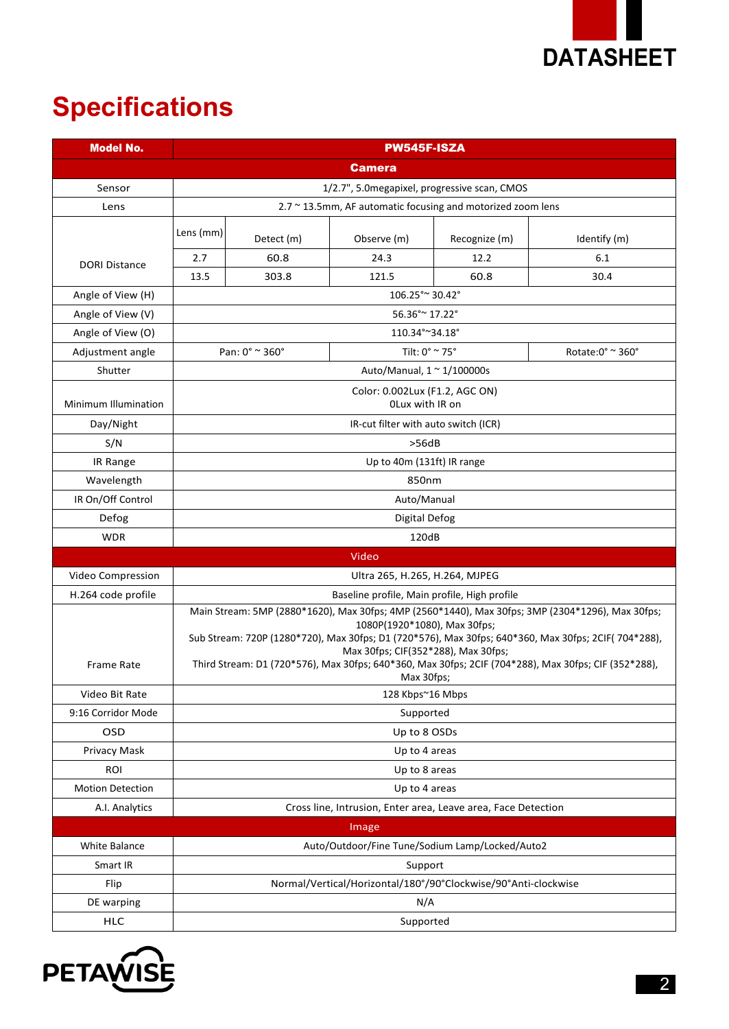

# **Specifications**

| <b>Model No.</b>        | <b>PW545F-ISZA</b>                                                                                                                                                                                                                                                                                                                                                                                   |                      |                                                               |               |                  |  |
|-------------------------|------------------------------------------------------------------------------------------------------------------------------------------------------------------------------------------------------------------------------------------------------------------------------------------------------------------------------------------------------------------------------------------------------|----------------------|---------------------------------------------------------------|---------------|------------------|--|
|                         |                                                                                                                                                                                                                                                                                                                                                                                                      |                      | <b>Camera</b>                                                 |               |                  |  |
| Sensor                  | 1/2.7", 5.0 megapixel, progressive scan, CMOS                                                                                                                                                                                                                                                                                                                                                        |                      |                                                               |               |                  |  |
| Lens                    | 2.7 ~ 13.5mm, AF automatic focusing and motorized zoom lens                                                                                                                                                                                                                                                                                                                                          |                      |                                                               |               |                  |  |
|                         | Lens (mm)                                                                                                                                                                                                                                                                                                                                                                                            | Detect (m)           | Observe (m)                                                   | Recognize (m) | Identify (m)     |  |
| <b>DORI Distance</b>    | 2.7                                                                                                                                                                                                                                                                                                                                                                                                  | 60.8                 | 24.3                                                          | 12.2          | 6.1              |  |
|                         | 13.5                                                                                                                                                                                                                                                                                                                                                                                                 | 303.8                | 121.5                                                         | 60.8          | 30.4             |  |
| Angle of View (H)       | 106.25° ~ 30.42°                                                                                                                                                                                                                                                                                                                                                                                     |                      |                                                               |               |                  |  |
| Angle of View (V)       | 56.36° ~ 17.22°                                                                                                                                                                                                                                                                                                                                                                                      |                      |                                                               |               |                  |  |
| Angle of View (O)       |                                                                                                                                                                                                                                                                                                                                                                                                      |                      | 110.34°~34.18°                                                |               |                  |  |
| Adjustment angle        |                                                                                                                                                                                                                                                                                                                                                                                                      | Pan: 0° ~ 360°       | Tilt: $0^\circ$ $\sim$ 75 $^\circ$                            |               | Rotate:0° ~ 360° |  |
| Shutter                 |                                                                                                                                                                                                                                                                                                                                                                                                      |                      | Auto/Manual, $1 \approx 1/100000$ s                           |               |                  |  |
| Minimum Illumination    | Color: 0.002Lux (F1.2, AGC ON)<br>OLux with IR on                                                                                                                                                                                                                                                                                                                                                    |                      |                                                               |               |                  |  |
| Day/Night               | IR-cut filter with auto switch (ICR)                                                                                                                                                                                                                                                                                                                                                                 |                      |                                                               |               |                  |  |
| S/N                     | >56dB                                                                                                                                                                                                                                                                                                                                                                                                |                      |                                                               |               |                  |  |
| IR Range                | Up to 40m (131ft) IR range                                                                                                                                                                                                                                                                                                                                                                           |                      |                                                               |               |                  |  |
| Wavelength              | 850nm                                                                                                                                                                                                                                                                                                                                                                                                |                      |                                                               |               |                  |  |
| IR On/Off Control       | Auto/Manual                                                                                                                                                                                                                                                                                                                                                                                          |                      |                                                               |               |                  |  |
| Defog                   |                                                                                                                                                                                                                                                                                                                                                                                                      | <b>Digital Defog</b> |                                                               |               |                  |  |
| <b>WDR</b>              |                                                                                                                                                                                                                                                                                                                                                                                                      |                      | 120dB                                                         |               |                  |  |
|                         |                                                                                                                                                                                                                                                                                                                                                                                                      |                      | Video                                                         |               |                  |  |
| Video Compression       |                                                                                                                                                                                                                                                                                                                                                                                                      |                      | Ultra 265, H.265, H.264, MJPEG                                |               |                  |  |
| H.264 code profile      | Baseline profile, Main profile, High profile                                                                                                                                                                                                                                                                                                                                                         |                      |                                                               |               |                  |  |
| Frame Rate              | Main Stream: 5MP (2880*1620), Max 30fps; 4MP (2560*1440), Max 30fps; 3MP (2304*1296), Max 30fps;<br>1080P(1920*1080), Max 30fps;<br>Sub Stream: 720P (1280*720), Max 30fps; D1 (720*576), Max 30fps; 640*360, Max 30fps; 2CIF(704*288),<br>Max 30fps; CIF(352*288), Max 30fps;<br>Third Stream: D1 (720*576), Max 30fps; 640*360, Max 30fps; 2CIF (704*288), Max 30fps; CIF (352*288),<br>Max 30fps; |                      |                                                               |               |                  |  |
| Video Bit Rate          |                                                                                                                                                                                                                                                                                                                                                                                                      |                      | 128 Kbps~16 Mbps                                              |               |                  |  |
| 9:16 Corridor Mode      |                                                                                                                                                                                                                                                                                                                                                                                                      |                      | Supported                                                     |               |                  |  |
| OSD                     |                                                                                                                                                                                                                                                                                                                                                                                                      |                      | Up to 8 OSDs                                                  |               |                  |  |
| Privacy Mask            |                                                                                                                                                                                                                                                                                                                                                                                                      |                      | Up to 4 areas                                                 |               |                  |  |
| <b>ROI</b>              |                                                                                                                                                                                                                                                                                                                                                                                                      | Up to 8 areas        |                                                               |               |                  |  |
| <b>Motion Detection</b> |                                                                                                                                                                                                                                                                                                                                                                                                      |                      | Up to 4 areas                                                 |               |                  |  |
| A.I. Analytics          |                                                                                                                                                                                                                                                                                                                                                                                                      |                      | Cross line, Intrusion, Enter area, Leave area, Face Detection |               |                  |  |
|                         |                                                                                                                                                                                                                                                                                                                                                                                                      |                      | Image                                                         |               |                  |  |
| White Balance           |                                                                                                                                                                                                                                                                                                                                                                                                      |                      | Auto/Outdoor/Fine Tune/Sodium Lamp/Locked/Auto2               |               |                  |  |
| Smart IR                | Support                                                                                                                                                                                                                                                                                                                                                                                              |                      |                                                               |               |                  |  |
| Flip                    | Normal/Vertical/Horizontal/180°/90°Clockwise/90°Anti-clockwise                                                                                                                                                                                                                                                                                                                                       |                      |                                                               |               |                  |  |
| DE warping              | N/A                                                                                                                                                                                                                                                                                                                                                                                                  |                      |                                                               |               |                  |  |
| <b>HLC</b>              |                                                                                                                                                                                                                                                                                                                                                                                                      | Supported            |                                                               |               |                  |  |

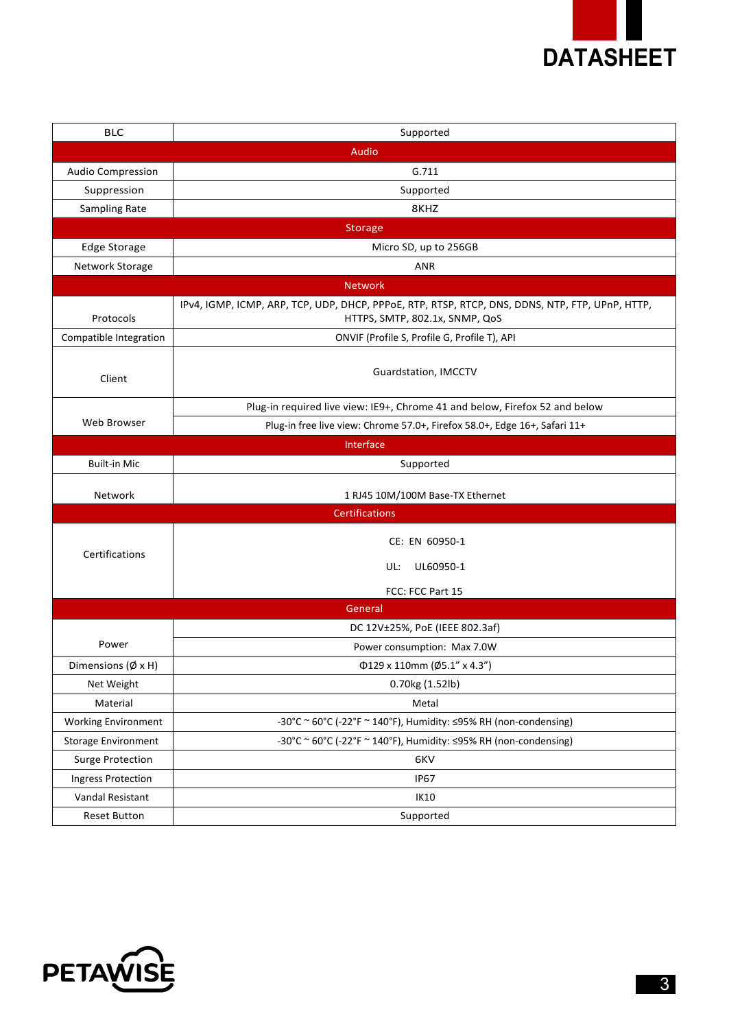

| <b>BLC</b>                        | Supported                                                                                                                         |
|-----------------------------------|-----------------------------------------------------------------------------------------------------------------------------------|
|                                   | Audio                                                                                                                             |
| <b>Audio Compression</b>          | G.711                                                                                                                             |
| Suppression                       | Supported                                                                                                                         |
| Sampling Rate                     | 8KHZ                                                                                                                              |
|                                   | Storage                                                                                                                           |
| Edge Storage                      | Micro SD, up to 256GB                                                                                                             |
| Network Storage                   | <b>ANR</b>                                                                                                                        |
|                                   | <b>Network</b>                                                                                                                    |
| Protocols                         | IPv4, IGMP, ICMP, ARP, TCP, UDP, DHCP, PPPoE, RTP, RTSP, RTCP, DNS, DDNS, NTP, FTP, UPnP, HTTP,<br>HTTPS, SMTP, 802.1x, SNMP, QoS |
| Compatible Integration            | ONVIF (Profile S, Profile G, Profile T), API                                                                                      |
| Client                            | Guardstation, IMCCTV                                                                                                              |
|                                   | Plug-in required live view: IE9+, Chrome 41 and below, Firefox 52 and below                                                       |
| Web Browser                       | Plug-in free live view: Chrome 57.0+, Firefox 58.0+, Edge 16+, Safari 11+                                                         |
|                                   | Interface                                                                                                                         |
| <b>Built-in Mic</b>               | Supported                                                                                                                         |
|                                   |                                                                                                                                   |
| Network                           | 1 RJ45 10M/100M Base-TX Ethernet                                                                                                  |
|                                   | <b>Certifications</b>                                                                                                             |
|                                   | CE: EN 60950-1                                                                                                                    |
| Certifications                    | UL60950-1<br>UL:                                                                                                                  |
|                                   | FCC: FCC Part 15                                                                                                                  |
|                                   | General                                                                                                                           |
|                                   | DC 12V±25%, PoE (IEEE 802.3af)                                                                                                    |
| Power                             | Power consumption: Max 7.0W                                                                                                       |
| Dimensions $(\emptyset \times H)$ | $\Phi$ 129 x 110mm (Ø5.1" x 4.3")                                                                                                 |
| Net Weight                        | 0.70kg (1.52lb)                                                                                                                   |
| Material                          | Metal                                                                                                                             |
| <b>Working Environment</b>        | -30°C ~ 60°C (-22°F ~ 140°F), Humidity: ≤95% RH (non-condensing)                                                                  |
| <b>Storage Environment</b>        | -30°C ~ 60°C (-22°F ~ 140°F), Humidity: ≤95% RH (non-condensing)                                                                  |
| <b>Surge Protection</b>           | 6KV                                                                                                                               |
| Ingress Protection                | <b>IP67</b>                                                                                                                       |
| Vandal Resistant                  | IK10                                                                                                                              |

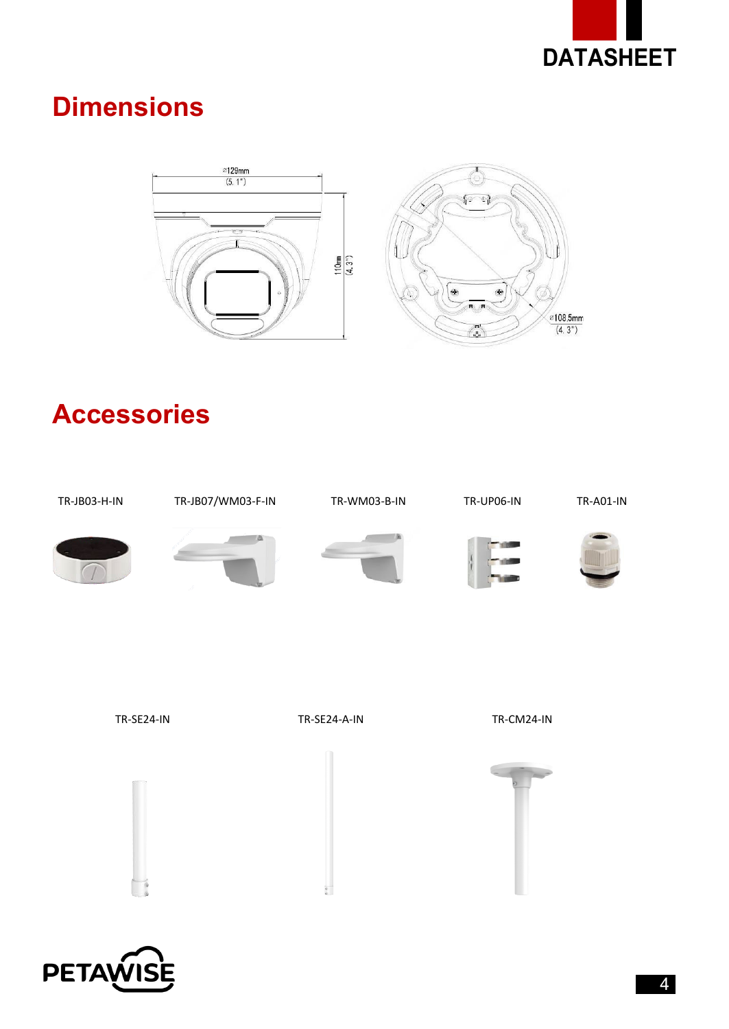

## **Dimensions**



#### **Accessories**



 $\frac{1}{\alpha}$